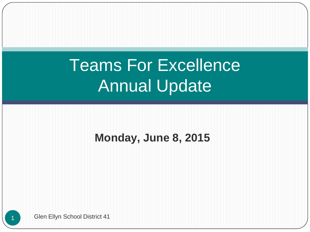# Teams For Excellence Annual Update

### **Monday, June 8, 2015**

Glen Ellyn School District 41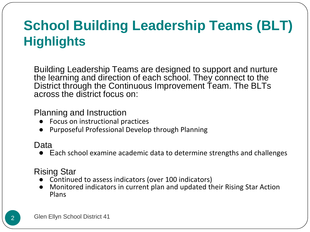## **School Building Leadership Teams (BLT) Highlights**

Building Leadership Teams are designed to support and nurture the learning and direction of each school. They connect to the District through the Continuous Improvement Team. The BLTs across the district focus on:

#### Planning and Instruction

- Focus on instructional practices
- Purposeful Professional Develop through Planning

#### Data

● Each school examine academic data to determine strengths and challenges

### Rising Star

- Continued to assess indicators (over 100 indicators)
- Monitored indicators in current plan and updated their Rising Star Action Plans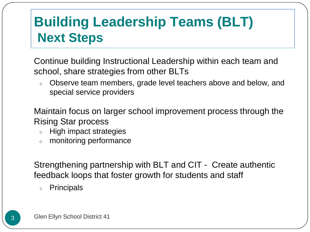## **Building Leadership Teams (BLT) Next Steps**

Continue building Instructional Leadership within each team and school, share strategies from other BLTs

○ Observe team members, grade level teachers above and below, and special service providers

Maintain focus on larger school improvement process through the Rising Star process

- High impact strategies
- monitoring performance

Strengthening partnership with BLT and CIT - Create authentic feedback loops that foster growth for students and staff

○ Principals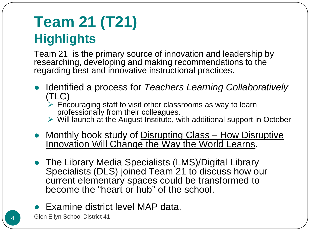## **Team 21 (T21) Highlights**

Team 21 is the primary source of innovation and leadership by researching, developing and making recommendations to the regarding best and innovative instructional practices.

- Identified a process for *Teachers Learning Collaboratively* (TLC)
	- $\triangleright$  Encouraging staff to visit other classrooms as way to learn professionally from their colleagues.
	- $\triangleright$  Will launch at the August Institute, with additional support in October
- Monthly book study of Disrupting Class How Disruptive Innovation Will Change the Way the World Learns.
- The Library Media Specialists (LMS)/Digital Library Specialists (DLS) joined Team 21 to discuss how our current elementary spaces could be transformed to become the "heart or hub" of the school.
- Examine district level MAP data.

4 Glen Ellyn School District 41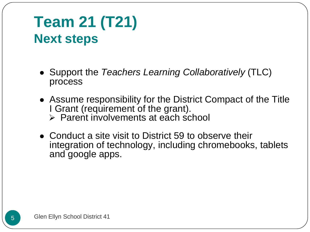## **Team 21 (T21) Next steps**

- Support the *Teachers Learning Collaboratively* (TLC) process
- Assume responsibility for the District Compact of the Title I Grant (requirement of the grant).  $\triangleright$  Parent involvements at each school
- Conduct a site visit to District 59 to observe their integration of technology, including chromebooks, tablets and google apps.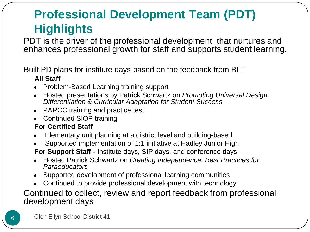### **Professional Development Team (PDT) Highlights**

PDT is the driver of the professional development that nurtures and enhances professional growth for staff and supports student learning.

#### Built PD plans for institute days based on the feedback from BLT **All Staff**

- Problem-Based Learning training support
- Hosted presentations by Patrick Schwartz on *Promoting Universal Design, Differentiation & Curricular Adaptation for Student Success*
- PARCC training and practice test
- Continued SIOP training

#### **For Certified Staff**

- Elementary unit planning at a district level and building-based
- Supported implementation of 1:1 initiative at Hadley Junior High
- **For Support Staff - I**nstitute days, SIP days, and conference days
- Hosted Patrick Schwartz on *Creating Independence: Best Practices for Paraeducators*
- Supported development of professional learning communities
- Continued to provide professional development with technology

#### Continued to collect, review and report feedback from professional development days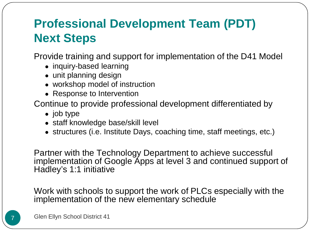### **Professional Development Team (PDT) Next Steps**

Provide training and support for implementation of the D41 Model

- inquiry-based learning
- unit planning design
- workshop model of instruction
- Response to Intervention

Continue to provide professional development differentiated by

- job type
- staff knowledge base/skill level
- structures (i.e. Institute Days, coaching time, staff meetings, etc.)

Partner with the Technology Department to achieve successful implementation of Google Apps at level 3 and continued support of Hadley's 1:1 initiative

Work with schools to support the work of PLCs especially with the implementation of the new elementary schedule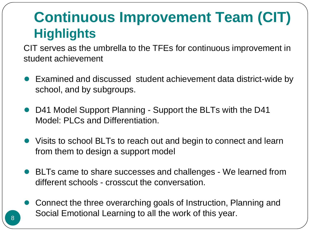## **Continuous Improvement Team (CIT) Highlights**

CIT serves as the umbrella to the TFEs for continuous improvement in student achievement

- Examined and discussed student achievement data district-wide by school, and by subgroups.
- D41 Model Support Planning Support the BLTs with the D41 Model: PLCs and Differentiation.
- Visits to school BLTs to reach out and begin to connect and learn from them to design a support model
- BLTs came to share successes and challenges We learned from different schools - crosscut the conversation.
- Connect the three overarching goals of Instruction, Planning and Social Emotional Learning to all the work of this year.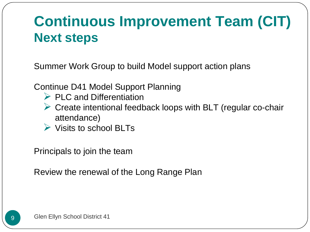## **Continuous Improvement Team (CIT) Next steps**

Summer Work Group to build Model support action plans

Continue D41 Model Support Planning

- $\triangleright$  PLC and Differentiation
- ► Create intentional feedback loops with BLT (regular co-chair attendance)
- $\triangleright$  Visits to school BLTs

Principals to join the team

Review the renewal of the Long Range Plan